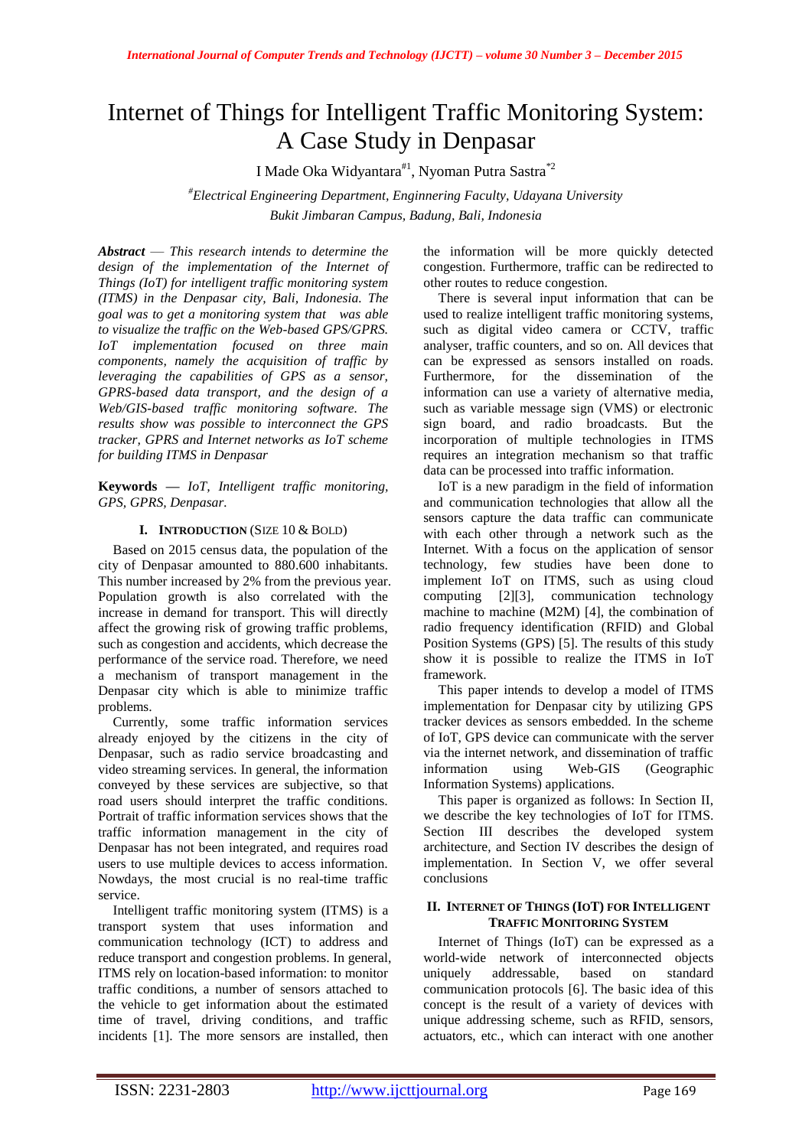# Internet of Things for Intelligent Traffic Monitoring System: A Case Study in Denpasar

I Made Oka Widyantara<sup>#1</sup>, Nyoman Putra Sastra<sup>\*2</sup>

*#Electrical Engineering Department, Enginnering Faculty, Udayana University Bukit Jimbaran Campus, Badung, Bali, Indonesia*

*Abstract* — *This research intends to determine the design of the implementation of the Internet of Things (IoT) for intelligent traffic monitoring system (ITMS) in the Denpasar city, Bali, Indonesia. The goal was to get a monitoring system that was able to visualize the traffic on the Web-based GPS/GPRS. IoT implementation focused on three main components, namely the acquisition of traffic by leveraging the capabilities of GPS as a sensor, GPRS-based data transport, and the design of a Web/GIS-based traffic monitoring software. The results show was possible to interconnect the GPS tracker, GPRS and Internet networks as IoT scheme for building ITMS in Denpasar*

**Keywords** *— IoT, Intelligent traffic monitoring, GPS, GPRS, Denpasar.* 

### **I. INTRODUCTION** (SIZE 10 & BOLD)

Based on 2015 census data, the population of the city of Denpasar amounted to 880.600 inhabitants. This number increased by 2% from the previous year. Population growth is also correlated with the increase in demand for transport. This will directly affect the growing risk of growing traffic problems, such as congestion and accidents, which decrease the performance of the service road. Therefore, we need a mechanism of transport management in the Denpasar city which is able to minimize traffic problems.

Currently, some traffic information services already enjoyed by the citizens in the city of Denpasar, such as radio service broadcasting and video streaming services. In general, the information conveyed by these services are subjective, so that road users should interpret the traffic conditions. Portrait of traffic information services shows that the traffic information management in the city of Denpasar has not been integrated, and requires road users to use multiple devices to access information. Nowdays, the most crucial is no real-time traffic service.

Intelligent traffic monitoring system (ITMS) is a transport system that uses information and communication technology (ICT) to address and reduce transport and congestion problems. In general, ITMS rely on location-based information: to monitor traffic conditions, a number of sensors attached to the vehicle to get information about the estimated time of travel, driving conditions, and traffic incidents [1]. The more sensors are installed, then

the information will be more quickly detected congestion. Furthermore, traffic can be redirected to other routes to reduce congestion.

There is several input information that can be used to realize intelligent traffic monitoring systems, such as digital video camera or CCTV, traffic analyser, traffic counters, and so on. All devices that can be expressed as sensors installed on roads. Furthermore, for the dissemination of the information can use a variety of alternative media, such as variable message sign (VMS) or electronic sign board, and radio broadcasts. But the incorporation of multiple technologies in ITMS requires an integration mechanism so that traffic data can be processed into traffic information.

IoT is a new paradigm in the field of information and communication technologies that allow all the sensors capture the data traffic can communicate with each other through a network such as the Internet. With a focus on the application of sensor technology, few studies have been done to implement IoT on ITMS, such as using cloud computing [2][3], communication technology machine to machine (M2M) [4], the combination of radio frequency identification (RFID) and Global Position Systems (GPS) [5]. The results of this study show it is possible to realize the ITMS in IoT framework.

This paper intends to develop a model of ITMS implementation for Denpasar city by utilizing GPS tracker devices as sensors embedded. In the scheme of IoT, GPS device can communicate with the server via the internet network, and dissemination of traffic information using Web-GIS (Geographic Information Systems) applications.

This paper is organized as follows: In Section II, we describe the key technologies of IoT for ITMS. Section III describes the developed system architecture, and Section IV describes the design of implementation. In Section V, we offer several conclusions

### **II. INTERNET OF THINGS (IOT) FOR INTELLIGENT TRAFFIC MONITORING SYSTEM**

Internet of Things (IoT) can be expressed as a world-wide network of interconnected objects uniquely addressable, based on standard communication protocols [6]. The basic idea of this concept is the result of a variety of devices with unique addressing scheme, such as RFID, sensors, actuators, etc., which can interact with one another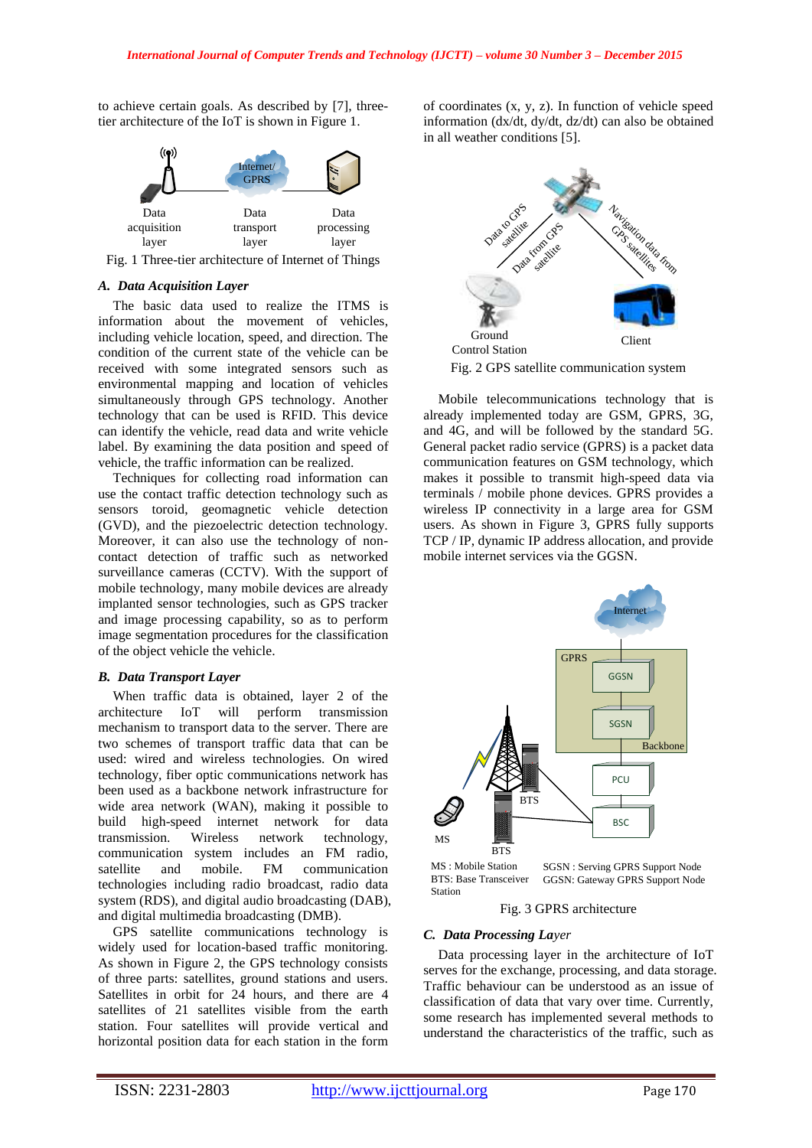to achieve certain goals. As described by [7], threetier architecture of the IoT is shown in Figure 1.



Fig. 1 Three-tier architecture of Internet of Things

#### *A. Data Acquisition Layer*

The basic data used to realize the ITMS is information about the movement of vehicles, including vehicle location, speed, and direction. The condition of the current state of the vehicle can be received with some integrated sensors such as environmental mapping and location of vehicles simultaneously through GPS technology. Another technology that can be used is RFID. This device can identify the vehicle, read data and write vehicle label. By examining the data position and speed of vehicle, the traffic information can be realized.

Techniques for collecting road information can use the contact traffic detection technology such as sensors toroid, geomagnetic vehicle detection (GVD), and the piezoelectric detection technology. Moreover, it can also use the technology of noncontact detection of traffic such as networked surveillance cameras (CCTV). With the support of mobile technology, many mobile devices are already implanted sensor technologies, such as GPS tracker and image processing capability, so as to perform image segmentation procedures for the classification of the object vehicle the vehicle.

## *B. Data Transport Layer*

When traffic data is obtained, layer 2 of the architecture IoT will perform transmission mechanism to transport data to the server. There are two schemes of transport traffic data that can be used: wired and wireless technologies. On wired technology, fiber optic communications network has been used as a backbone network infrastructure for wide area network (WAN), making it possible to build high-speed internet network for data transmission. Wireless network technology, communication system includes an FM radio, satellite and mobile. FM communication technologies including radio broadcast, radio data system (RDS), and digital audio broadcasting (DAB), and digital multimedia broadcasting (DMB).

GPS satellite communications technology is widely used for location-based traffic monitoring. As shown in Figure 2, the GPS technology consists of three parts: satellites, ground stations and users. Satellites in orbit for 24 hours, and there are 4 satellites of 21 satellites visible from the earth station. Four satellites will provide vertical and horizontal position data for each station in the form of coordinates (x, y, z). In function of vehicle speed information (dx/dt, dy/dt, dz/dt) can also be obtained in all weather conditions [5].



Fig. 2 GPS satellite communication system

Mobile telecommunications technology that is already implemented today are GSM, GPRS, 3G, and 4G, and will be followed by the standard 5G. General packet radio service (GPRS) is a packet data communication features on GSM technology, which makes it possible to transmit high-speed data via terminals / mobile phone devices. GPRS provides a wireless IP connectivity in a large area for GSM users. As shown in Figure 3, GPRS fully supports TCP / IP, dynamic IP address allocation, and provide mobile internet services via the GGSN.



BTS: Base Transceiver MS : Mobile Station SGSN : Serving GPRS Support Node<br>BTS: Base Transceiver GGSN: Gateway GPRS Support Node<br>Station

Fig. 3 GPRS architecture

## *C. Data Processing Layer*

Data processing layer in the architecture of IoT serves for the exchange, processing, and data storage. Traffic behaviour can be understood as an issue of classification of data that vary over time. Currently, some research has implemented several methods to understand the characteristics of the traffic, such as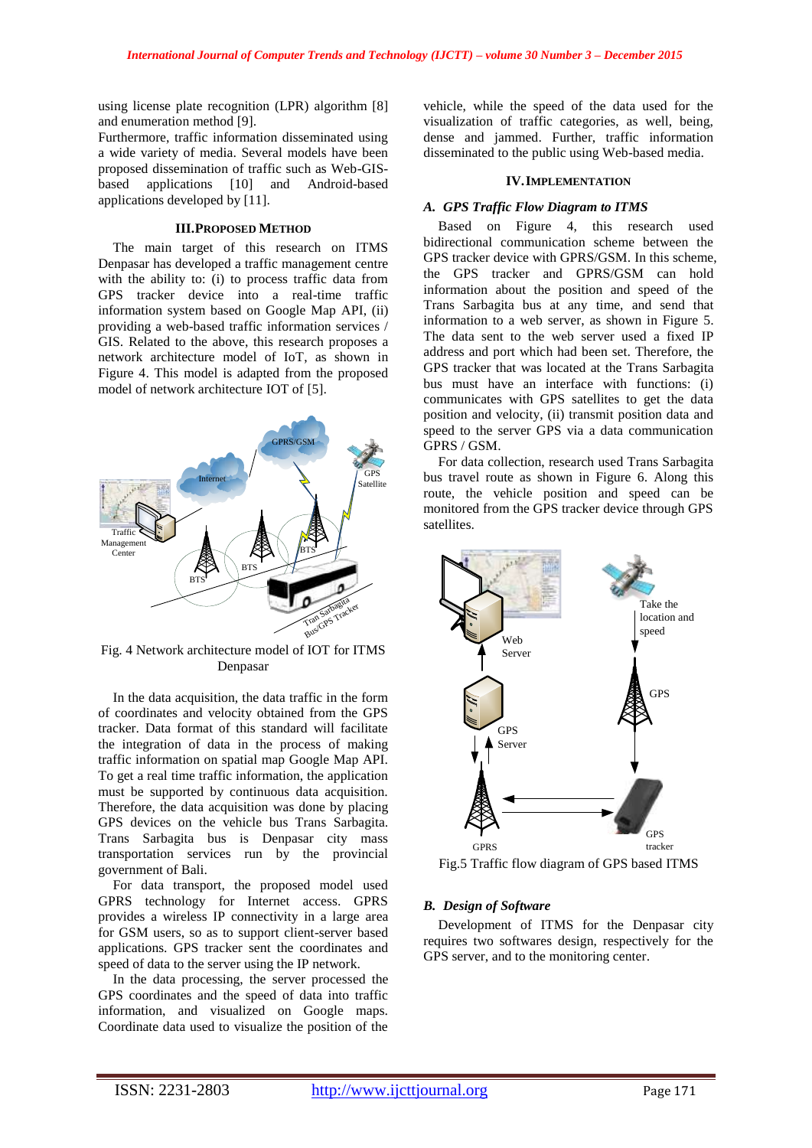using license plate recognition (LPR) algorithm [8] and enumeration method [9].

Furthermore, traffic information disseminated using a wide variety of media. Several models have been proposed dissemination of traffic such as Web-GISbased applications [10] and Android-based applications developed by [11].

#### **III.PROPOSED METHOD**

The main target of this research on ITMS Denpasar has developed a traffic management centre with the ability to: (i) to process traffic data from GPS tracker device into a real-time traffic information system based on Google Map API, (ii) providing a web-based traffic information services / GIS. Related to the above, this research proposes a network architecture model of IoT, as shown in Figure 4. This model is adapted from the proposed model of network architecture IOT of [5].



Fig. 4 Network architecture model of IOT for ITMS Denpasar

In the data acquisition, the data traffic in the form of coordinates and velocity obtained from the GPS tracker. Data format of this standard will facilitate the integration of data in the process of making traffic information on spatial map Google Map API. To get a real time traffic information, the application must be supported by continuous data acquisition. Therefore, the data acquisition was done by placing GPS devices on the vehicle bus Trans Sarbagita. Trans Sarbagita bus is Denpasar city mass transportation services run by the provincial government of Bali.

For data transport, the proposed model used GPRS technology for Internet access. GPRS provides a wireless IP connectivity in a large area for GSM users, so as to support client-server based applications. GPS tracker sent the coordinates and speed of data to the server using the IP network.

In the data processing, the server processed the GPS coordinates and the speed of data into traffic information, and visualized on Google maps. Coordinate data used to visualize the position of the vehicle, while the speed of the data used for the visualization of traffic categories, as well, being, dense and jammed. Further, traffic information disseminated to the public using Web-based media.

## **IV.IMPLEMENTATION**

## *A. GPS Traffic Flow Diagram to ITMS*

Based on Figure 4, this research used bidirectional communication scheme between the GPS tracker device with GPRS/GSM. In this scheme, the GPS tracker and GPRS/GSM can hold information about the position and speed of the Trans Sarbagita bus at any time, and send that information to a web server, as shown in Figure 5. The data sent to the web server used a fixed IP address and port which had been set. Therefore, the GPS tracker that was located at the Trans Sarbagita bus must have an interface with functions: (i) communicates with GPS satellites to get the data position and velocity, (ii) transmit position data and speed to the server GPS via a data communication GPRS / GSM.

For data collection, research used Trans Sarbagita bus travel route as shown in Figure 6. Along this route, the vehicle position and speed can be monitored from the GPS tracker device through GPS satellites.



Fig.5 Traffic flow diagram of GPS based ITMS

# *B. Design of Software*

Development of ITMS for the Denpasar city requires two softwares design, respectively for the GPS server, and to the monitoring center.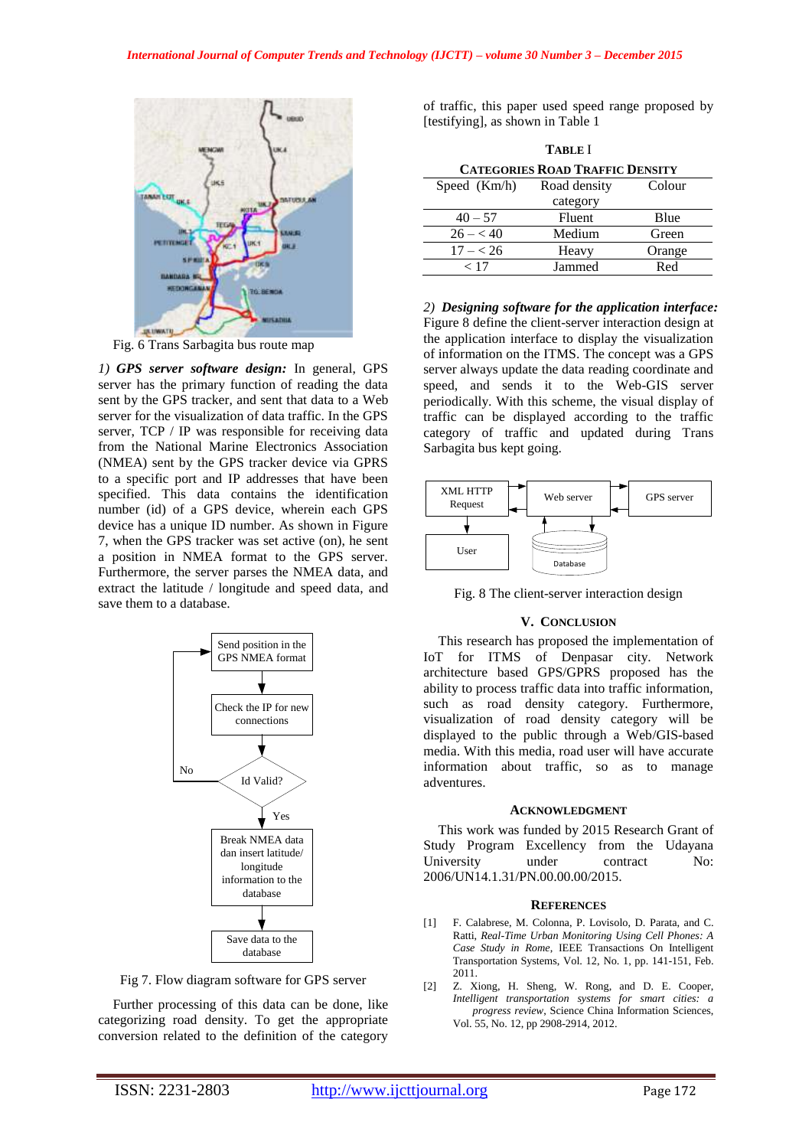

Fig. 6 Trans Sarbagita bus route map

*1) GPS server software design:* In general, GPS server has the primary function of reading the data sent by the GPS tracker, and sent that data to a Web server for the visualization of data traffic. In the GPS server, TCP / IP was responsible for receiving data from the National Marine Electronics Association (NMEA) sent by the GPS tracker device via GPRS to a specific port and IP addresses that have been specified. This data contains the identification number (id) of a GPS device, wherein each GPS device has a unique ID number. As shown in Figure 7, when the GPS tracker was set active (on), he sent a position in NMEA format to the GPS server. Furthermore, the server parses the NMEA data, and extract the latitude / longitude and speed data, and save them to a database.



Fig 7. Flow diagram software for GPS server

Further processing of this data can be done, like categorizing road density. To get the appropriate conversion related to the definition of the category of traffic, this paper used speed range proposed by [testifying], as shown in Table 1

| <b>TABLE</b> I                         |              |        |
|----------------------------------------|--------------|--------|
| <b>CATEGORIES ROAD TRAFFIC DENSITY</b> |              |        |
| Speed $(Km/h)$                         | Road density | Colour |
|                                        | category     |        |
| $40 - 57$                              | Fluent       | Blue   |
| $26 - < 40$                            | Medium       | Green  |
| $17 - 26$                              | Heavy        | Orange |
| < 17                                   | Jammed       | Red    |
|                                        |              |        |

*2) Designing software for the application interface:* Figure 8 define the client-server interaction design at the application interface to display the visualization of information on the ITMS. The concept was a GPS server always update the data reading coordinate and speed, and sends it to the Web-GIS server periodically. With this scheme, the visual display of traffic can be displayed according to the traffic category of traffic and updated during Trans Sarbagita bus kept going.



Fig. 8 The client-server interaction design

#### **V. CONCLUSION**

This research has proposed the implementation of IoT for ITMS of Denpasar city. Network architecture based GPS/GPRS proposed has the ability to process traffic data into traffic information, such as road density category. Furthermore, visualization of road density category will be displayed to the public through a Web/GIS-based media. With this media, road user will have accurate information about traffic, so as to manage adventures.

#### **ACKNOWLEDGMENT**

This work was funded by 2015 Research Grant of Study Program Excellency from the Udayana University under contract No: 2006/UN14.1.31/PN.00.00.00/2015.

#### **REFERENCES**

- [1] F. Calabrese, M. Colonna, P. Lovisolo, D. Parata, and C. Ratti, *Real-Time Urban Monitoring Using Cell Phones: A Case Study in Rome*, IEEE Transactions On Intelligent Transportation Systems, Vol. 12, No. 1, pp. 141-151, Feb. 2011.
- [2] Z. Xiong, H. Sheng, W. Rong, and D. E. Cooper, *Intelligent transportation systems for smart cities: a progress review*, Science China Information Sciences, Vol. 55, No. 12, pp 2908-2914, 2012.